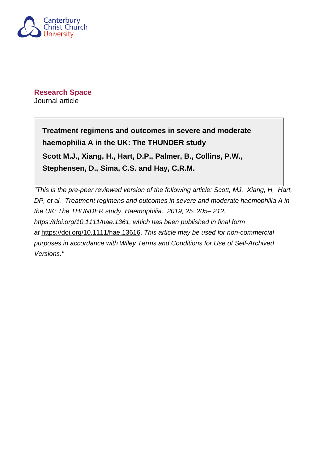

**Research Space** Journal article

> **Treatment regimens and outcomes in severe and moderate haemophilia A in the UK: The THUNDER study Scott M.J., Xiang, H., Hart, D.P., Palmer, B., Collins, P.W., Stephensen, D., Sima, C.S. and Hay, C.R.M.**

"This is the pre-peer reviewed version of the following article: Scott, MJ, Xiang, H, Hart, DP, et al. Treatment regimens and outcomes in severe and moderate haemophilia A in the UK: The THUNDER study. Haemophilia. 2019; 25: 205– 212. <https://doi.org/10.1111/hae.1361,> which has been published in final form at [https://doi.org/10.1111/hae.13616.](https://doi.org/10.1111/hae.13616) This article may be used for non-commercial purposes in accordance with Wiley Terms and Conditions for Use of Self-Archived Versions."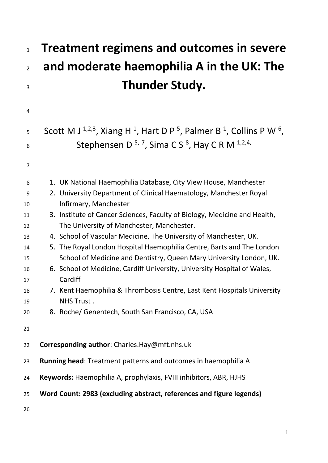# **Treatment regimens and outcomes in severe and moderate haemophilia A in the UK: The**  Thunder Study.

| 4              |                                                                                                                                |
|----------------|--------------------------------------------------------------------------------------------------------------------------------|
| 5              | Scott M J <sup>1,2,3</sup> , Xiang H <sup>1</sup> , Hart D P <sup>5</sup> , Palmer B <sup>1</sup> , Collins P W <sup>6</sup> , |
| 6              | Stephensen D <sup>5,7</sup> , Sima CS <sup>8</sup> , Hay CRM <sup>1,2,4,</sup>                                                 |
| $\overline{7}$ |                                                                                                                                |
| 8              | 1. UK National Haemophilia Database, City View House, Manchester                                                               |
| 9              | 2. University Department of Clinical Haematology, Manchester Royal                                                             |
| 10             | Infirmary, Manchester                                                                                                          |
| 11             | 3. Institute of Cancer Sciences, Faculty of Biology, Medicine and Health,                                                      |
| 12             | The University of Manchester, Manchester.                                                                                      |
| 13             | 4. School of Vascular Medicine, The University of Manchester, UK.                                                              |
| 14             | 5. The Royal London Hospital Haemophilia Centre, Barts and The London                                                          |
| 15             | School of Medicine and Dentistry, Queen Mary University London, UK.                                                            |
| 16             | 6. School of Medicine, Cardiff University, University Hospital of Wales,                                                       |
| 17             | Cardiff                                                                                                                        |
| 18             | 7. Kent Haemophilia & Thrombosis Centre, East Kent Hospitals University                                                        |
| 19             | NHS Trust.                                                                                                                     |
| 20             | 8. Roche/ Genentech, South San Francisco, CA, USA                                                                              |
| 21             |                                                                                                                                |
| 22             | Corresponding author: Charles.Hay@mft.nhs.uk                                                                                   |
| 23             | Running head: Treatment patterns and outcomes in haemophilia A                                                                 |
| 24             | Keywords: Haemophilia A, prophylaxis, FVIII inhibitors, ABR, HJHS                                                              |
| 25             | Word Count: 2983 (excluding abstract, references and figure legends)                                                           |
| 26             |                                                                                                                                |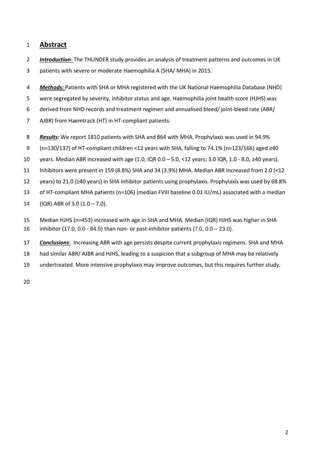#### **Abstract**

- *Introduction*: The THUNDER study provides an analysis of treatment patterns and outcomes in UK
- 3 patients with severe or moderate Haemophilia A (SHA/ MHA) in 2015.
- *Methods:* Patients with SHA or MHA registered with the UK National Haemophilia Database (NHD)
- 5 were segregated by severity, inhibitor status and age. Haemophilia joint health score (HJHS) was
- 6 derived from NHD records and treatment regimen and annualised bleed/ joint-bleed rate (ABR/
- 7 AJBR) from Haemtrack (HT) in HT-compliant patients.
- *Results:* We report 1810 patients with SHA and 864 with MHA. Prophylaxis was used in 94.9%
- 9 (n=130/137) of HT-compliant children <12 years with SHA, falling to 74.1% (n=123/166) aged  $\geq$ 40
- 10 years. Median ABR increased with age (1.0, IQR  $0.0 5.0$ , <12 years; 3.0 IQR, 1.0 8.0,  $\geq$ 40 years).
- Inhibitors were present in 159 (8.8%) SHA and 34 (3.9%) MHA. Median ABR increased from 2.0 (<12
- 12 years) to 21.0 (≥40 years) in SHA inhibitor patients using prophylaxis. Prophylaxis was used by 68.8%
- of HT-compliant MHA patients (n=106) (median FVIII baseline 0.01 IU/mL) associated with a median
- 14  $(IQR)$  ABR of 3.0  $(1.0 7.0)$ .
- Median HJHS (n=453) increased with age in SHA and MHA. Median (IQR) HJHS was higher in SHA
- inhibitor (17.0, 0.0 64.5) than non- or past-inhibitor patients (7.0, 0.0 23.0).
- *Conclusions*: Increasing ABR with age persists despite current prophylaxis regimens. SHA and MHA
- had similar ABR/ AJBR and HJHS, leading to a suspicion that a subgroup of MHA may be relatively
- undertreated. More intensive prophylaxis may improve outcomes, but this requires further study.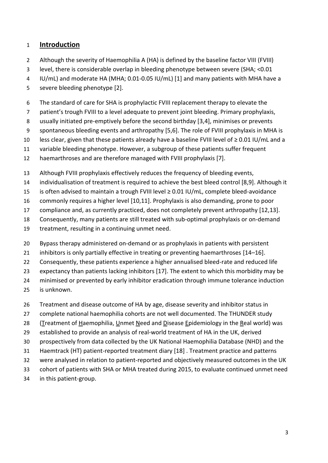## **Introduction**

- Although the severity of Haemophilia A (HA) is defined by the baseline factor VIII (FVIII)
- level, there is considerable overlap in bleeding phenotype between severe (SHA; <0.01
- IU/mL) and moderate HA (MHA; 0.01-0.05 IU/mL) [1] and many patients with MHA have a
- severe bleeding phenotype [2].
- The standard of care for SHA is prophylactic FVIII replacement therapy to elevate the
- 7 patient's trough FVIII to a level adequate to prevent joint bleeding. Primary prophylaxis,
- usually initiated pre-emptively before the second birthday [3,4], minimises or prevents
- 9 spontaneous bleeding events and arthropathy [5,6]. The role of FVIII prophylaxis in MHA is
- 10 less clear, given that these patients already have a baseline FVIII level of ≥ 0.01 IU/mL and a
- variable bleeding phenotype. However, a subgroup of these patients suffer frequent
- haemarthroses and are therefore managed with FVIII prophylaxis [7].
- Although FVIII prophylaxis effectively reduces the frequency of bleeding events,
- individualisation of treatment is required to achieve the best bleed control [8,9]. Although it
- 15 is often advised to maintain a trough FVIII level  $\geq$  0.01 IU/mL, complete bleed-avoidance
- commonly requires a higher level [10,11]. Prophylaxis is also demanding, prone to poor
- compliance and, as currently practiced, does not completely prevent arthropathy [12,13].
- Consequently, many patients are still treated with sub-optimal prophylaxis or on-demand
- treatment, resulting in a continuing unmet need.
- Bypass therapy administered on-demand or as prophylaxis in patients with persistent
- inhibitors is only partially effective in treating or preventing haemarthroses [14–16].
- 22 Consequently, these patients experience a higher annualised bleed-rate and reduced life
- 23 expectancy than patients lacking inhibitors [17]. The extent to which this morbidity may be
- minimised or prevented by early inhibitor eradication through immune tolerance induction
- is unknown.
- Treatment and disease outcome of HA by age, disease severity and inhibitor status in
- complete national haemophilia cohorts are not well documented. The THUNDER study
- (Treatment of Haemophilia, Unmet Need and Disease Epidemiology in the Real world) was
- established to provide an analysis of real-world treatment of HA in the UK, derived
- prospectively from data collected by the UK National Haemophilia Database (NHD) and the
- Haemtrack (HT) patient-reported treatment diary [18] . Treatment practice and patterns
- were analysed in relation to patient-reported and objectively measured outcomes in the UK
- cohort of patients with SHA or MHA treated during 2015, to evaluate continued unmet need
- in this patient-group.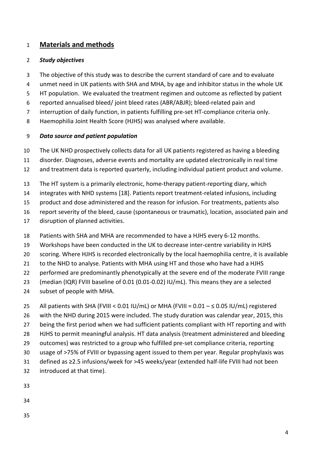# **Materials and methods**

#### *Study objectives*

- The objective of this study was to describe the current standard of care and to evaluate
- unmet need in UK patients with SHA and MHA, by age and inhibitor status in the whole UK
- HT population. We evaluated the treatment regimen and outcome as reflected by patient
- reported annualised bleed/ joint bleed rates (ABR/ABJR); bleed-related pain and
- interruption of daily function, in patients fulfilling pre-set HT-compliance criteria only.
- Haemophilia Joint Health Score (HJHS) was analysed where available.

## *Data source and patient population*

- The UK NHD prospectively collects data for all UK patients registered as having a bleeding
- disorder. Diagnoses, adverse events and mortality are updated electronically in real time
- and treatment data is reported quarterly, including individual patient product and volume.
- The HT system is a primarily electronic, home-therapy patient-reporting diary, which
- integrates with NHD systems [18]. Patients report treatment-related infusions, including
- product and dose administered and the reason for infusion. For treatments, patients also
- report severity of the bleed, cause (spontaneous or traumatic), location, associated pain and
- disruption of planned activities.
- Patients with SHA and MHA are recommended to have a HJHS every 6-12 months.
- Workshops have been conducted in the UK to decrease inter-centre variability in HJHS
- scoring. Where HJHS is recorded electronically by the local haemophilia centre, it is available
- to the NHD to analyse. Patients with MHA using HT and those who have had a HJHS
- performed are predominantly phenotypically at the severe end of the moderate FVIII range
- (median (IQR) FVIII baseline of 0.01 (0.01-0.02) IU/mL). This means they are a selected
- subset of people with MHA.
- 25 All patients with SHA (FVIII <  $0.01$  IU/mL) or MHA (FVIII =  $0.01 \le 0.05$  IU/mL) registered
- with the NHD during 2015 were included. The study duration was calendar year, 2015, this
- 27 being the first period when we had sufficient patients compliant with HT reporting and with
- HJHS to permit meaningful analysis. HT data analysis (treatment administered and bleeding
- outcomes) was restricted to a group who fulfilled pre-set compliance criteria, reporting
- usage of >75% of FVIII or bypassing agent issued to them per year. Regular prophylaxis was 31 defined as ≥2.5 infusions/week for >45 weeks/year (extended half-life FVIII had not been
- introduced at that time).
- 
- 
-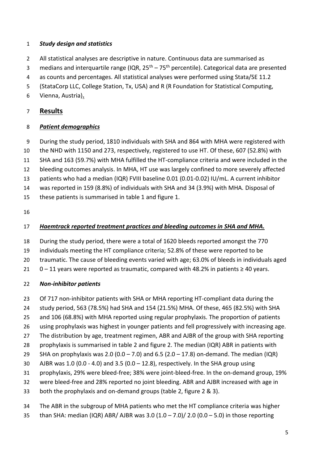#### *Study design and statistics*

- All statistical analyses are descriptive in nature. Continuous data are summarised as
- 3 medians and interquartile range (IQR,  $25<sup>th</sup> 75<sup>th</sup>$  percentile). Categorical data are presented
- as counts and percentages. All statistical analyses were performed using Stata/SE 11.2
- (StataCorp LLC, College Station, Tx, USA) and R (R Foundation for Statistical Computing,
- Vienna, Austria)**.**

# **Results**

## *Patient demographics*

- During the study period, 1810 individuals with SHA and 864 with MHA were registered with
- the NHD with 1150 and 273, respectively, registered to use HT. Of these, 607 (52.8%) with
- SHA and 163 (59.7%) with MHA fulfilled the HT-compliance criteria and were included in the
- bleeding outcomes analysis. In MHA, HT use was largely confined to more severely affected
- patients who had a median (IQR) FVIII baseline 0.01 (0.01-0.02) IU/mL. A current inhibitor
- was reported in 159 (8.8%) of individuals with SHA and 34 (3.9%) with MHA. Disposal of
- these patients is summarised in table 1 and figure 1.
- 

# *Haemtrack reported treatment practices and bleeding outcomes in SHA and MHA.*

- During the study period, there were a total of 1620 bleeds reported amongst the 770
- individuals meeting the HT compliance criteria; 52.8% of these were reported to be
- traumatic. The cause of bleeding events varied with age; 63.0% of bleeds in individuals aged
- 21  $0 11$  years were reported as traumatic, compared with 48.2% in patients  $\geq 40$  years.

## *Non-inhibitor patients*

- 23 Of 717 non-inhibitor patients with SHA or MHA reporting HT-compliant data during the
- study period, 563 (78.5%) had SHA and 154 (21.5%) MHA. Of these, 465 (82.5%) with SHA
- and 106 (68.8%) with MHA reported using regular prophylaxis. The proportion of patients
- using prophylaxis was highest in younger patients and fell progressively with increasing age.
- The distribution by age, treatment regimen, ABR and AJBR of the group with SHA reporting
- prophylaxis is summarised in table 2 and figure 2. The median (IQR) ABR in patients with
- 29 SHA on prophylaxis was 2.0 (0.0 7.0) and 6.5 (2.0 17.8) on-demand. The median (IQR)
- AJBR was 1.0 (0.0 4.0) and 3.5 (0.0 12.8), respectively. In the SHA group using
- prophylaxis, 29% were bleed-free; 38% were joint-bleed-free. In the on-demand group, 19%
- were bleed-free and 28% reported no joint bleeding. ABR and AJBR increased with age in
- both the prophylaxis and on-demand groups (table 2, figure 2 & 3).
- The ABR in the subgroup of MHA patients who met the HT compliance criteria was higher
- 35 than SHA: median (IQR) ABR/ AJBR was  $3.0$  (1.0 7.0)/ 2.0 (0.0 5.0) in those reporting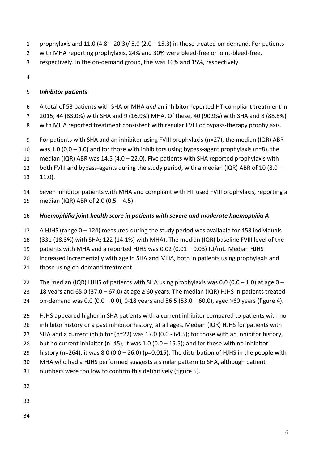- 1 prophylaxis and  $11.0$  (4.8 20.3)/ 5.0 (2.0 15.3) in those treated on-demand. For patients
- with MHA reporting prophylaxis, 24% and 30% were bleed-free or joint-bleed-free,
- respectively. In the on-demand group, this was 10% and 15%, respectively.
- 

# *Inhibitor patients*

- A total of 53 patients with SHA or MHA *and* an inhibitor reported HT-compliant treatment in
- 2015; 44 (83.0%) with SHA and 9 (16.9%) MHA. Of these, 40 (90.9%) with SHA and 8 (88.8%)
- with MHA reported treatment consistent with regular FVIII or bypass-therapy prophylaxis.
- For patients with SHA and an inhibitor using FVIII prophylaxis (n=27), the median (IQR) ABR
- 10 was 1.0 (0.0 3.0) and for those with inhibitors using bypass-agent prophylaxis (n=8), the
- median (IQR) ABR was 14.5 (4.0 22.0). Five patients with SHA reported prophylaxis with
- both FVIII and bypass-agents during the study period, with a median (IQR) ABR of 10 (8.0 –
- 11.0).
- Seven inhibitor patients with MHA and compliant with HT used FVIII prophylaxis, reporting a median (IQR) ABR of 2.0 (0.5 – 4.5).

# *Haemophilia joint health score in patients with severe and moderate haemophilia A*

- A HJHS (range 0 124) measured during the study period was available for 453 individuals
- (331 (18.3%) with SHA; 122 (14.1%) with MHA). The median (IQR) baseline FVIII level of the
- patients with MHA and a reported HJHS was 0.02 (0.01 0.03) IU/mL. Median HJHS
- increased incrementally with age in SHA and MHA, both in patients using prophylaxis and
- 21 those using on-demand treatment.
- 22 The median (IQR) HJHS of patients with SHA using prophylaxis was 0.0 (0.0 1.0) at age  $0 -$
- 23 18 years and 65.0 (37.0 67.0) at age  $\geq$  60 years. The median (IQR) HJHS in patients treated
- on-demand was 0.0 (0.0 0.0), 0-18 years and 56.5 (53.0 60.0), aged >60 years (figure 4).
- HJHS appeared higher in SHA patients with a current inhibitor compared to patients with no
- inhibitor history or a past inhibitor history, at all ages. Median (IQR) HJHS for patients with
- SHA and a current inhibitor (n=22) was 17.0 (0.0 64.5); for those with an inhibitor history,
- 28 but no current inhibitor ( $n=45$ ), it was 1.0 (0.0 15.5); and for those with no inhibitor
- 29 history (n=264), it was 8.0 (0.0 26.0) (p=0.015). The distribution of HJHS in the people with
- MHA who had a HJHS performed suggests a similar pattern to SHA, although patient
- numbers were too low to confirm this definitively (figure 5).
- 
- 
-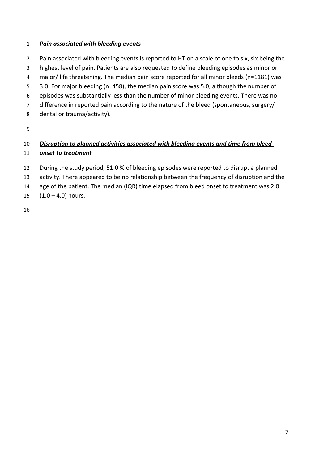#### *Pain associated with bleeding events*

- 2 Pain associated with bleeding events is reported to HT on a scale of one to six, six being the
- highest level of pain. Patients are also requested to define bleeding episodes as minor or
- major/ life threatening. The median pain score reported for all minor bleeds (n=1181) was
- 5 3.0. For major bleeding (n=458), the median pain score was 5.0, although the number of
- episodes was substantially less than the number of minor bleeding events. There was no
- 7 difference in reported pain according to the nature of the bleed (spontaneous, surgery/
- dental or trauma/activity).

# *Disruption to planned activities associated with bleeding events and time from bleed-onset to treatment*

- During the study period, 51.0 % of bleeding episodes were reported to disrupt a planned
- activity. There appeared to be no relationship between the frequency of disruption and the
- 14 age of the patient. The median (IQR) time elapsed from bleed onset to treatment was 2.0
- 15  $(1.0 4.0)$  hours.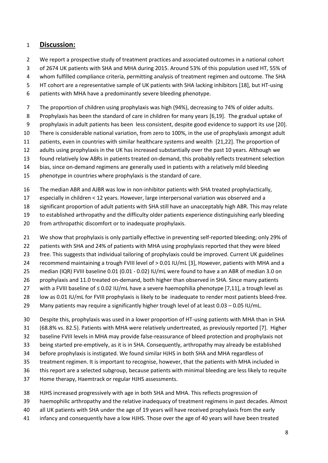#### **Discussion:**

- 2 We report a prospective study of treatment practices and associated outcomes in a national cohort
- 3 of 2674 UK patients with SHA and MHA during 2015. Around 53% of this population used HT, 55% of
- 4 whom fulfilled compliance criteria, permitting analysis of treatment regimen and outcome. The SHA
- 5 HT cohort are a representative sample of UK patients with SHA lacking inhibitors [18], but HT-using
- 6 patients with MHA have a predominantly severe bleeding phenotype.
- 7 The proportion of children using prophylaxis was high (94%), decreasing to 74% of older adults.
- 8 Prophylaxis has been the standard of care in children for many years [6,19]. The gradual uptake of
- 9 prophylaxis in adult patients has been less consistent, despite good evidence to support its use [20].
- There is considerable national variation, from zero to 100%, in the use of prophylaxis amongst adult
- patients, even in countries with similar healthcare systems and wealth [21,22]. The proportion of
- adults using prophylaxis in the UK has increased substantially over the past 10 years. Although we
- found relatively low ABRs in patients treated on-demand, this probably reflects treatment selection
- bias, since on-demand regimens are generally used in patients with a relatively mild bleeding
- phenotype in countries where prophylaxis is the standard of care.
- The median ABR and AJBR was low in non-inhibitor patients with SHA treated prophylactically,
- especially in children < 12 years. However, large interpersonal variation was observed and a
- significant proportion of adult patients with SHA still have an unacceptably high ABR. This may relate
- to established arthropathy and the difficulty older patients experience distinguishing early bleeding
- from arthropathic discomfort or to inadequate prophylaxis.
- 21 We show that prophylaxis is only partially effective in preventing self-reported bleeding; only 29% of
- 22 patients with SHA and 24% of patients with MHA using prophylaxis reported that they were bleed
- free. This suggests that individual tailoring of prophylaxis could be improved. Current UK guidelines
- recommend maintaining a trough FVIII level of > 0.01 IU/mL [3], However, patients with MHA and a
- median (IQR) FVIII baseline 0.01 (0.01 0.02) IU/mL were found to have a an ABR of median 3.0 on
- prophylaxis and 11.0 treated on-demand, both higher than observed in SHA. Since many patients
- 27 with a FVIII baseline of  $\leq$  0.02 IU/mL have a severe haemophilia phenotype [7,11], a trough level as
- 28 low as 0.01 IU/mL for FVIII prophylaxis is likely to be inadequate to render most patients bleed-free.
- 29 Many patients may require a significantly higher trough level of at least  $0.03 0.05$  IU/mL.
- Despite this, prophylaxis was used in a lower proportion of HT-using patients with MHA than in SHA (68.8% vs. 82.5). Patients with MHA were relatively undertreated, as previously reported [7]. Higher baseline FVIII levels in MHA may provide false-reassurance of bleed protection and prophylaxis not being started pre-emptively, as it is in SHA. Consequently, arthropathy may already be established before prophylaxis is instigated. We found similar HJHS in both SHA and MHA regardless of
- treatment regimen. It is important to recognise, however, that the patients with MHA included in
- this report are a selected subgroup, because patients with minimal bleeding are less likely to requite
- Home therapy, Haemtrack or regular HJHS assessments.
- HJHS increased progressively with age in both SHA and MHA. This reflects progression of
- haemophilic arthropathy and the relative inadequacy of treatment regimens in past decades. Almost
- all UK patients with SHA under the age of 19 years will have received prophylaxis from the early
- infancy and consequently have a low HJHS. Those over the age of 40 years will have been treated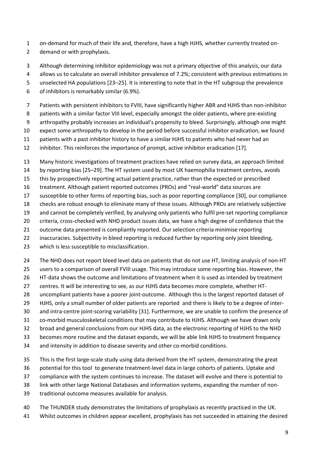- 1 on-demand for much of their life and, therefore, have a high HJHS, whether currently treated on-
- 2 demand or with prophylaxis.
- 3 Although determining inhibitor epidemiology was not a primary objective of this analysis, our data
- 4 allows us to calculate an overall inhibitor prevalence of 7.2%; consistent with previous estimations in
- 5 unselected HA populations [23–25]. It is interesting to note that in the HT subgroup the prevalence
- 6 of inhibitors is remarkably similar (6.9%).
- 7 Patients with persistent inhibitors to FVIII, have significantly higher ABR and HJHS than non-inhibitor
- 8 patients with a similar factor VIII level, especially amongst the older patients, where pre-existing
- 9 arthropathy probably increases an individual's propensity to bleed. Surprisingly, although one might
- expect some arthropathy to develop in the period before successful inhibitor eradication, we found
- patients with a past inhibitor history to have a similar HJHS to patients who had never had an
- inhibitor. This reinforces the importance of prompt, active inhibitor eradication [17].
- Many historic investigations of treatment practices have relied on survey data, an approach limited
- by reporting bias [25–29]. The HT system used by most UK haemophilia treatment centres, avoids
- this by prospectively reporting actual patient practice, rather than the expected or prescribed
- 16 treatment. Although patient reported outcomes (PROs) and "real-world" data sources are
- susceptible to other forms of reporting bias, such as poor reporting compliance [30], our compliance
- checks are robust enough to eliminate many of these issues. Although PROs are relatively subjective
- and cannot be completely verified, by analysing only patients who fulfil pre-set reporting compliance
- criteria, cross-checked with NHD product issues data, we have a high degree of confidence that the
- outcome data presented is compliantly reported. Our selection criteria minimise reporting
- inaccuracies. Subjectivity in bleed reporting is reduced further by reporting only joint bleeding,
- which is less susceptible to misclassification.
- The NHD does not report bleed level data on patients that do not use HT, limiting analysis of non-HT
- users to a comparison of overall FVIII usage. This may introduce some reporting bias. However, the
- HT-data shows the outcome and limitations of treatment when it is used as intended by treatment
- centres. It will be interesting to see, as our HJHS data becomes more complete, whether HT-
- 28 uncompliant patients have a poorer joint-outcome. Although this is the largest reported dataset of
- HJHS, only a small number of older patients are reported and there is likely to be a degree of inter-
- and intra-centre joint-scoring variability [31]. Furthermore, we are unable to confirm the presence of
- co-morbid musculoskeletal conditions that may contribute to HJHS. Although we have drawn only
- broad and general conclusions from our HJHS data, as the electronic reporting of HJHS to the NHD
- becomes more routine and the dataset expands, we will be able link HJHS to treatment frequency
- and intensity in addition to disease severity and other co-morbid conditions.
- This is the first large-scale study using data derived from the HT system, demonstrating the great
- potential for this tool to generate treatment-level data in large cohorts of patients. Uptake and
- compliance with the system continues to increase. The dataset will evolve and there is potential to
- link with other large National Databases and information systems, expanding the number of non-
- traditional outcome measures available for analysis.
- The THUNDER study demonstrates the limitations of prophylaxis as recently practiced in the UK.
- Whilst outcomes in children appear excellent, prophylaxis has not succeeded in attaining the desired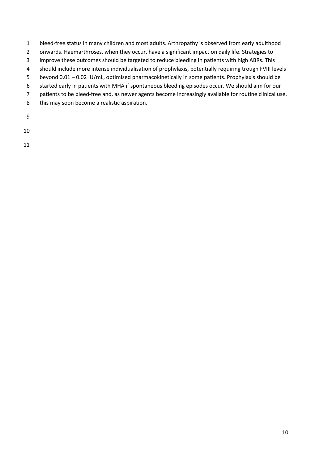- 1 bleed-free status in many children and most adults. Arthropathy is observed from early adulthood
- 2 onwards. Haemarthroses, when they occur, have a significant impact on daily life. Strategies to
- 3 improve these outcomes should be targeted to reduce bleeding in patients with high ABRs. This
- 4 should include more intense individualisation of prophylaxis, potentially requiring trough FVIII levels
- 5 beyond 0.01 0.02 IU/mL, optimised pharmacokinetically in some patients. Prophylaxis should be
- 6 started early in patients with MHA if spontaneous bleeding episodes occur. We should aim for our
- 7 patients to be bleed-free and, as newer agents become increasingly available for routine clinical use,
- 8 this may soon become a realistic aspiration.
- 9

10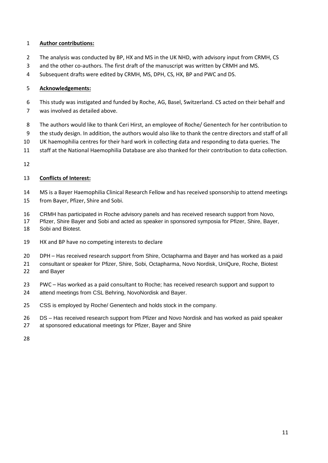#### **Author contributions:**

- 2 The analysis was conducted by BP, HX and MS in the UK NHD, with advisory input from CRMH, CS
- 3 and the other co-authors. The first draft of the manuscript was written by CRMH and MS.
- 4 Subsequent drafts were edited by CRMH, MS, DPH, CS, HX, BP and PWC and DS.

#### **Acknowledgements:**

- 6 This study was instigated and funded by Roche, AG, Basel, Switzerland. CS acted on their behalf and
- 7 was involved as detailed above.
- 8 The authors would like to thank Ceri Hirst, an employee of Roche/ Genentech for her contribution to
- 9 the study design. In addition, the authors would also like to thank the centre directors and staff of all
- UK haemophilia centres for their hard work in collecting data and responding to data queries. The
- staff at the National Haemophilia Database are also thanked for their contribution to data collection.
- 

#### **Conflicts of Interest:**

- MS is a Bayer Haemophilia Clinical Research Fellow and has received sponsorship to attend meetings from Bayer, Pfizer, Shire and Sobi.
- CRMH has participated in Roche advisory panels and has received research support from Novo,
- Pfizer, Shire Bayer and Sobi and acted as speaker in sponsored symposia for Pfizer, Shire, Bayer, Sobi and Biotest.
- HX and BP have no competing interests to declare
- DPH Has received research support from Shire, Octapharma and Bayer and has worked as a paid
- consultant or speaker for Pfizer, Shire, Sobi, Octapharma, Novo Nordisk, UniQure, Roche, Biotest and Bayer
- PWC Has worked as a paid consultant to Roche; has received research support and support to attend meetings from CSL Behring, NovoNordisk and Bayer.
- CSS is employed by Roche/ Genentech and holds stock in the company.
- DS Has received research support from Pfizer and Novo Nordisk and has worked as paid speaker
- at sponsored educational meetings for Pfizer, Bayer and Shire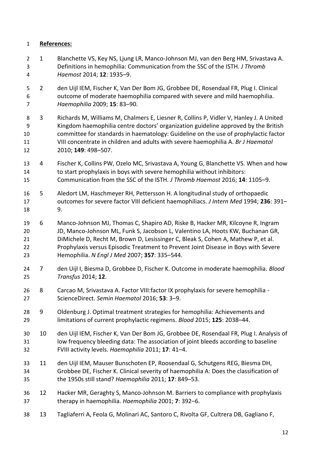#### **References:**

- 1 Blanchette VS, Key NS, Ljung LR, Manco-Johnson MJ, van den Berg HM, Srivastava A. Definitions in hemophilia: Communication from the SSC of the ISTH. *J Thromb Haemost* 2014; **12**: 1935–9.
- 2 den Uijl IEM, Fischer K, Van Der Bom JG, Grobbee DE, Rosendaal FR, Plug I. Clinical outcome of moderate haemophilia compared with severe and mild haemophilia. *Haemophilia* 2009; **15**: 83–90.
- 3 Richards M, Williams M, Chalmers E, Liesner R, Collins P, Vidler V, Hanley J. A United 9 Kingdom haemophilia centre doctors' organization guideline approved by the British committee for standards in haematology: Guideline on the use of prophylactic factor VIII concentrate in children and adults with severe haemophilia A. *Br J Haematol* 2010; **149**: 498–507.
- 4 Fischer K, Collins PW, Ozelo MC, Srivastava A, Young G, Blanchette VS. When and how to start prophylaxis in boys with severe hemophilia without inhibitors: Communication from the SSC of the ISTH. *J Thromb Haemost* 2016; **14**: 1105–9.
- 5 Aledort LM, Haschmeyer RH, Pettersson H. A longitudinal study of orthopaedic outcomes for severe factor VIII deficient haemophiliacs. *J Intern Med* 1994; **236**: 391– 9.
- 6 Manco-Johnson MJ, Thomas C, Shapiro AD, Riske B, Hacker MR, Kilcoyne R, Ingram JD, Manco-Johnson ML, Funk S, Jacobson L, Valentino LA, Hoots KW, Buchanan GR, DiMichele D, Recht M, Brown D, Lesissinger C, Bleak S, Cohen A, Mathew P, et al. Prophylaxis versus Episodic Treatment to Prevent Joint Disease in Boys with Severe Hemophilia. *N Engl J Med* 2007; **357**: 335–544.
- 7 den Uijl I, Biesma D, Grobbee D, Fischer K. Outcome in moderate haemophilia. *Blood Transfus* 2014; **12**.
- 8 Carcao M, Srivastava A. Factor VIII:factor IX prophylaxis for severe hemophilia ScienceDirect. *Semin Haematol* 2016; **53**: 3–9.
- 9 Oldenburg J. Optimal treatment strategies for hemophilia: Achievements and limitations of current prophylactic regimens. *Blood* 2015; **125**: 2038–44.
- 10 den Uijl IEM, Fischer K, Van Der Bom JG, Grobbee DE, Rosendaal FR, Plug I. Analysis of low frequency bleeding data: The association of joint bleeds according to baseline FVIII activity levels. *Haemophilia* 2011; **17**: 41–4.
- 11 den Uijl IEM, Mauser Bunschoten EP, Roosendaal G, Schutgens REG, Biesma DH, Grobbee DE, Fischer K. Clinical severity of haemophilia A: Does the classification of the 1950s still stand? *Haemophilia* 2011; **17**: 849–53.
- 12 Hacker MR, Geraghty S, Manco-Johnson M. Barriers to compliance with prophylaxis therapy in haemophilia. *Haemophilia* 2001; **7**: 392–6.
- 13 Tagliaferri A, Feola G, Molinari AC, Santoro C, Rivolta GF, Cultrera DB, Gagliano F,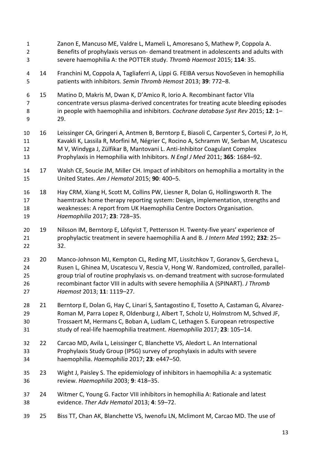Zanon E, Mancuso ME, Valdre L, Mameli L, Amoresano S, Mathew P, Coppola A. Benefits of prophylaxis versus on- demand treatment in adolescents and adults with severe haemophilia A: the POTTER study. *Thromb Haemost* 2015; **114**: 35. 14 Franchini M, Coppola A, Tagliaferri A, Lippi G. FEIBA versus NovoSeven in hemophilia patients with inhibitors. *Semin Thromb Hemost* 2013; **39**: 772–8. 6 15 Matino D, Makris M, Dwan K, D'Amico R, Iorio A. Recombinant factor VIIa concentrate versus plasma-derived concentrates for treating acute bleeding episodes in people with haemophilia and inhibitors. *Cochrane database Syst Rev* 2015; **12**: 1– 29. 16 Leissinger CA, Gringeri A, Antmen B, Berntorp E, Biasoli C, Carpenter S, Cortesi P, Jo H, Kavakli K, Lassila R, Morfini M, Négrier C, Rocino A, Schramm W, Serban M, Uscatescu M V, Windyga J, Zülfikar B, Mantovani L. Anti-Inhibitor Coagulant Complex Prophylaxis in Hemophilia with Inhibitors. *N Engl J Med* 2011; **365**: 1684–92. 17 Walsh CE, Soucie JM, Miller CH. Impact of inhibitors on hemophilia a mortality in the United States. *Am J Hematol* 2015; **90**: 400–5. 18 Hay CRM, Xiang H, Scott M, Collins PW, Liesner R, Dolan G, Hollingsworth R. The haemtrack home therapy reporting system: Design, implementation, strengths and weaknesses: A report from UK Haemophilia Centre Doctors Organisation. *Haemophilia* 2017; **23**: 728–35. 20 19 Nilsson IM, Berntorp E, Löfqvist T, Pettersson H. Twenty-five years' experience of prophylactic treatment in severe haemophilia A and B. *J Intern Med* 1992; **232**: 25– 32. 20 Manco-Johnson MJ, Kempton CL, Reding MT, Lissitchkov T, Goranov S, Gercheva L, Rusen L, Ghinea M, Uscatescu V, Rescia V, Hong W. Randomized, controlled, parallel- group trial of routine prophylaxis vs. on-demand treatment with sucrose-formulated recombinant factor VIII in adults with severe hemophilia A (SPINART). *J Thromb Haemost* 2013; **11**: 1119–27. 21 Berntorp E, Dolan G, Hay C, Linari S, Santagostino E, Tosetto A, Castaman G, Alvarez- Roman M, Parra Lopez R, Oldenburg J, Albert T, Scholz U, Holmstrom M, Schved JF, Trossaert M, Hermans C, Boban A, Ludlam C, Lethagen S. European retrospective study of real-life haemophilia treatment. *Haemophilia* 2017; **23**: 105–14. 22 Carcao MD, Avila L, Leissinger C, Blanchette VS, Aledort L. An International Prophylaxis Study Group (IPSG) survey of prophylaxis in adults with severe haemophilia. *Haemophilia* 2017; **23**: e447–50. 23 Wight J, Paisley S. The epidemiology of inhibitors in haemophilia A: a systematic review. *Haemophilia* 2003; **9**: 418–35. 24 Witmer C, Young G. Factor VIII inhibitors in hemophilia A: Rationale and latest evidence. *Ther Adv Hematol* 2013; **4**: 59–72. 25 Biss TT, Chan AK, Blanchette VS, Iwenofu LN, Mclimont M, Carcao MD. The use of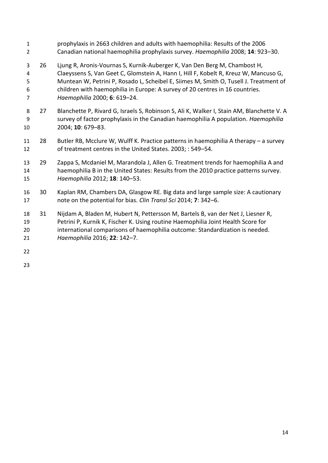- prophylaxis in 2663 children and adults with haemophilia: Results of the 2006 Canadian national haemophilia prophylaxis survey. *Haemophilia* 2008; **14**: 923–30. 26 Ljung R, Aronis-Vournas S, Kurnik-Auberger K, Van Den Berg M, Chambost H, Claeyssens S, Van Geet C, Glomstein A, Hann I, Hill F, Kobelt R, Kreuz W, Mancuso G, Muntean W, Petrini P, Rosado L, Scheibel E, Siimes M, Smith O, Tusell J. Treatment of children with haemophilia in Europe: A survey of 20 centres in 16 countries. *Haemophilia* 2000; **6**: 619–24. 8 27 Blanchette P, Rivard G, Israels S, Robinson S, Ali K, Walker I, Stain AM, Blanchette V. A survey of factor prophylaxis in the Canadian haemophilia A population. *Haemophilia* 2004; **10**: 679–83. 28 Butler RB, Mcclure W, Wulff K. Practice patterns in haemophilia A therapy – a survey of treatment centres in the United States. 2003; : 549–54. 29 Zappa S, Mcdaniel M, Marandola J, Allen G. Treatment trends for haemophilia A and haemophilia B in the United States: Results from the 2010 practice patterns survey. *Haemophilia* 2012; **18**: 140–53. 30 Kaplan RM, Chambers DA, Glasgow RE. Big data and large sample size: A cautionary note on the potential for bias. *Clin Transl Sci* 2014; **7**: 342–6. 31 Nijdam A, Bladen M, Hubert N, Pettersson M, Bartels B, van der Net J, Liesner R, Petrini P, Kurnik K, Fischer K. Using routine Haemophilia Joint Health Score for international comparisons of haemophilia outcome: Standardization is needed. *Haemophilia* 2016; **22**: 142–7.
-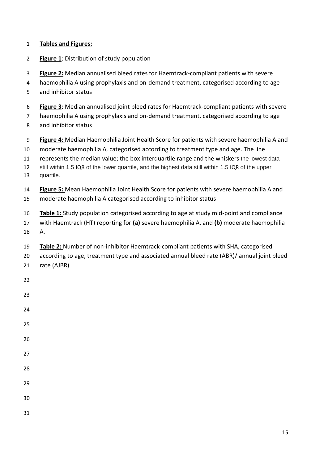#### **Tables and Figures:**

- **Figure 1**: Distribution of study population
- **Figure 2:** Median annualised bleed rates for Haemtrack-compliant patients with severe
- haemophilia A using prophylaxis and on-demand treatment, categorised according to age
- and inhibitor status
- **Figure 3**: Median annualised joint bleed rates for Haemtrack-compliant patients with severe
- haemophilia A using prophylaxis and on-demand treatment, categorised according to age
- and inhibitor status
- **Figure 4:** Median Haemophilia Joint Health Score for patients with severe haemophilia A and
- moderate haemophilia A, categorised according to treatment type and age. The line
- represents the median value; the box interquartile range and the whiskers the lowest data
- still within 1.5 IQR of the lower quartile, and the highest data still within 1.5 IQR of the upper quartile.
- **Figure 5:** Mean Haemophilia Joint Health Score for patients with severe haemophilia A and
- moderate haemophilia A categorised according to inhibitor status
- **Table 1:** Study population categorised according to age at study mid-point and compliance
- with Haemtrack (HT) reporting for **(a)** severe haemophilia A, and **(b)** moderate haemophilia A.
- **Table 2:** Number of non-inhibitor Haemtrack-compliant patients with SHA, categorised
- according to age, treatment type and associated annual bleed rate (ABR)/ annual joint bleed
- rate (AJBR)
- 
- 
- 
- 
- 
- 
- 
- 
- 
- 
- 
- 
-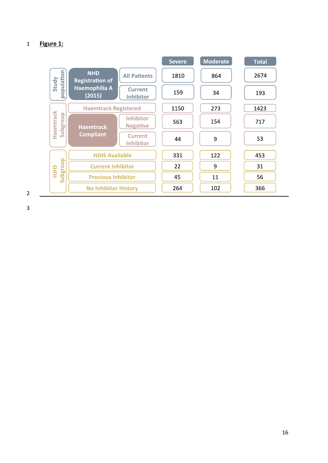# **Figure 1:**

|                                |                                                               | <b>Severe</b> | <b>Moderate</b> | <b>Total</b> |
|--------------------------------|---------------------------------------------------------------|---------------|-----------------|--------------|
| pulation<br>Study              | <b>NHD</b><br><b>All Patients</b><br><b>Registration of</b>   | 1810          | 864             | 2674         |
| $\overline{q}$                 | Haemophilia A<br><b>Current</b><br>(2015)<br><b>Inhibitor</b> | 159           | 34              | 193          |
|                                | <b>Haemtrack Registered</b>                                   | 1150          | 273             | 1423         |
| Haemtrack<br>Subgroup          | <b>Inhibitor</b><br><b>Negative</b><br><b>Haemtrack</b>       | 563           | 154             | 717          |
|                                | <b>Compliant</b><br><b>Current</b><br><b>Inhibitor</b>        | 44            | 9               | 53           |
|                                | <b>HJHS Available</b>                                         | 331           | 122             | 453          |
| <b>Subgroup</b><br><b>HIHS</b> | <b>Current Inhibitor</b>                                      | 22            | 9               | 31           |
|                                | <b>Previous Inhibitor</b>                                     | 45            | 11              | 56           |
| $\overline{2}$                 | <b>No Inhibitor History</b>                                   | 264           | 102             | 366          |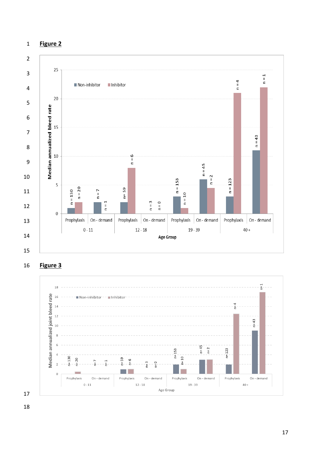#### **Figure 2**



**Figure 3** 

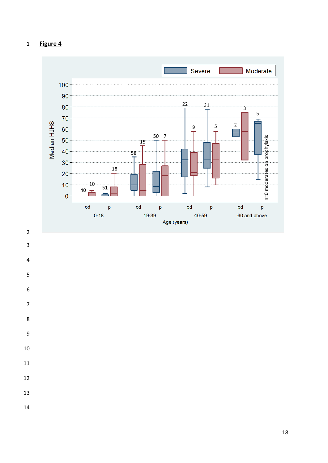# **Figure 4**







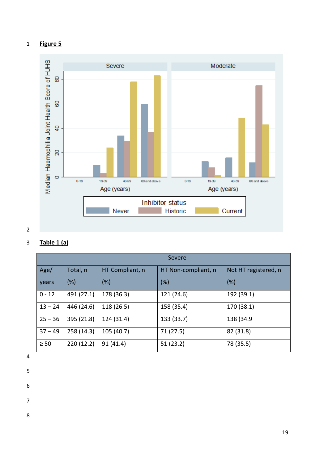



# 2

# 3 **Table 1 (a)**

|           | <b>Severe</b> |                 |                     |                      |  |  |
|-----------|---------------|-----------------|---------------------|----------------------|--|--|
| Age/      | Total, n      | HT Compliant, n | HT Non-compliant, n | Not HT registered, n |  |  |
| years     | (%)           | (%)             | (%)                 | (%)                  |  |  |
| $0 - 12$  | 491 (27.1)    | 178 (36.3)      | 121 (24.6)          | 192 (39.1)           |  |  |
| $13 - 24$ | 446 (24.6)    | 118 (26.5)      | 158 (35.4)          | 170 (38.1)           |  |  |
| $25 - 36$ | 395 (21.8)    | 124 (31.4)      | 133 (33.7)          | 138 (34.9)           |  |  |
| $37 - 49$ | 258 (14.3)    | 105 (40.7)      | 71 (27.5)           | 82 (31.8)            |  |  |
| $\geq 50$ | 220(12.2)     | 91(41.4)        | 51 (23.2)           | 78 (35.5)            |  |  |

## 4

- 5
- 6
- 

7